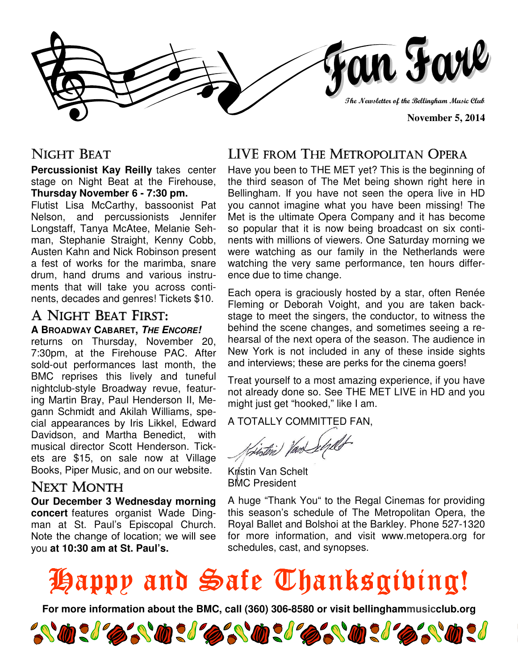

### NIGHT BEAT

**Percussionist Kay Reilly** takes center stage on Night Beat at the Firehouse, **Thursday November 6 - 7:30 pm.** 

Flutist Lisa McCarthy, bassoonist Pat Nelson, and percussionists Jennifer Longstaff, Tanya McAtee, Melanie Sehman, Stephanie Straight, Kenny Cobb, Austen Kahn and Nick Robinson present a fest of works for the marimba, snare drum, hand drums and various instruments that will take you across continents, decades and genres! Tickets \$10.

#### A NIGHT BEAT FIRST: **A BROADWAY CABARET, THE ENCORE!**

returns on Thursday, November 20, 7:30pm, at the Firehouse PAC. After sold-out performances last month, the BMC reprises this lively and tuneful nightclub-style Broadway revue, featuring Martin Bray, Paul Henderson II, Megann Schmidt and Akilah Williams, special appearances by Iris Likkel, Edward Davidson, and Martha Benedict, with musical director Scott Henderson. Tickets are \$15, on sale now at Village Books, Piper Music, and on our website.

### **NEXT MONTH**

**Our December 3 Wednesday morning concert** features organist Wade Dingman at St. Paul's Episcopal Church. Note the change of location; we will see you **at 10:30 am at St. Paul's.**

### LIVE FROM THE METROPOLITAN OPERA

Have you been to THE MET yet? This is the beginning of the third season of The Met being shown right here in Bellingham. If you have not seen the opera live in HD you cannot imagine what you have been missing! The Met is the ultimate Opera Company and it has become so popular that it is now being broadcast on six continents with millions of viewers. One Saturday morning we were watching as our family in the Netherlands were watching the very same performance, ten hours difference due to time change.

Each opera is graciously hosted by a star, often Renée Fleming or Deborah Voight, and you are taken backstage to meet the singers, the conductor, to witness the behind the scene changes, and sometimes seeing a rehearsal of the next opera of the season. The audience in New York is not included in any of these inside sights and interviews; these are perks for the cinema goers!

Treat yourself to a most amazing experience, if you have not already done so. See THE MET LIVE in HD and you might just get "hooked," like I am.

A TOTALLY COMMITTED FAN,

Kristin Van Schelt BMC President

A huge "Thank You" to the Regal Cinemas for providing this season's schedule of The Metropolitan Opera, the Royal Ballet and Bolshoi at the Barkley. Phone 527-1320 for more information, and visit www.metopera.org for schedules, cast, and synopses.

# Happy and Safe Thanksgiving!

**For more information about the BMC, call (360) 306-8580 or visit bellinghammusicclub.org** 

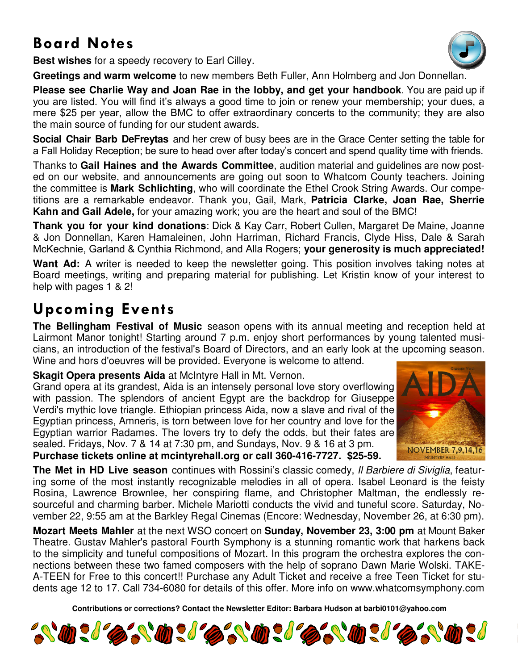## **Board Notes**

**Best wishes** for a speedy recovery to Earl Cilley.

**Greetings and warm welcome** to new members Beth Fuller, Ann Holmberg and Jon Donnellan.

**Please see Charlie Way and Joan Rae in the lobby, and get your handbook**. You are paid up if you are listed. You will find it's always a good time to join or renew your membership; your dues, a mere \$25 per year, allow the BMC to offer extraordinary concerts to the community; they are also the main source of funding for our student awards.

**Social Chair Barb DeFreytas** and her crew of busy bees are in the Grace Center setting the table for a Fall Holiday Reception; be sure to head over after today's concert and spend quality time with friends.

Thanks to **Gail Haines and the Awards Committee**, audition material and guidelines are now posted on our website, and announcements are going out soon to Whatcom County teachers. Joining the committee is **Mark Schlichting**, who will coordinate the Ethel Crook String Awards. Our competitions are a remarkable endeavor. Thank you, Gail, Mark, **Patricia Clarke, Joan Rae, Sherrie Kahn and Gail Adele,** for your amazing work; you are the heart and soul of the BMC!

**Thank you for your kind donations**: Dick & Kay Carr, Robert Cullen, Margaret De Maine, Joanne & Jon Donnellan, Karen Hamaleinen, John Harriman, Richard Francis, Clyde Hiss, Dale & Sarah McKechnie, Garland & Cynthia Richmond, and Alla Rogers; **your generosity is much appreciated!** 

Want Ad: A writer is needed to keep the newsletter going. This position involves taking notes at Board meetings, writing and preparing material for publishing. Let Kristin know of your interest to help with pages 1 & 2!

## **Upcoming Events**

**The Bellingham Festival of Music** season opens with its annual meeting and reception held at Lairmont Manor tonight! Starting around 7 p.m. enjoy short performances by young talented musicians, an introduction of the festival's Board of Directors, and an early look at the upcoming season. Wine and hors d'oeuvres will be provided. Everyone is welcome to attend.

**Skagit Opera presents Aida** at McIntyre Hall in Mt. Vernon.

Grand opera at its grandest, Aida is an intensely personal love story overflowing with passion. The splendors of ancient Egypt are the backdrop for Giuseppe Verdi's mythic love triangle. Ethiopian princess Aida, now a slave and rival of the Egyptian princess, Amneris, is torn between love for her country and love for the Egyptian warrior Radames. The lovers try to defy the odds, but their fates are sealed. Fridays, Nov. 7 & 14 at 7:30 pm, and Sundays, Nov. 9 & 16 at 3 pm.



**Purchase tickets online at mcintyrehall.org or call 360-416-7727. \$25-59.** 

**The Met in HD Live season** continues with Rossini's classic comedy, Il Barbiere di Siviglia, featuring some of the most instantly recognizable melodies in all of opera. Isabel Leonard is the feisty Rosina, Lawrence Brownlee, her conspiring flame, and Christopher Maltman, the endlessly resourceful and charming barber. Michele Mariotti conducts the vivid and tuneful score. Saturday, November 22, 9:55 am at the Barkley Regal Cinemas (Encore: Wednesday, November 26, at 6:30 pm).

**Mozart Meets Mahler** at the next WSO concert on **Sunday, November 23, 3:00 pm** at Mount Baker Theatre. Gustav Mahler's pastoral Fourth Symphony is a stunning romantic work that harkens back to the simplicity and tuneful compositions of Mozart. In this program the orchestra explores the connections between these two famed composers with the help of soprano Dawn Marie Wolski. TAKE-A-TEEN for Free to this concert!! Purchase any Adult Ticket and receive a free Teen Ticket for students age 12 to 17. Call 734-6080 for details of this offer. More info on www.whatcomsymphony.com

**Contributions or corrections? Contact the Newsletter Editor: Barbara Hudson at barbi0101@yahoo.com**



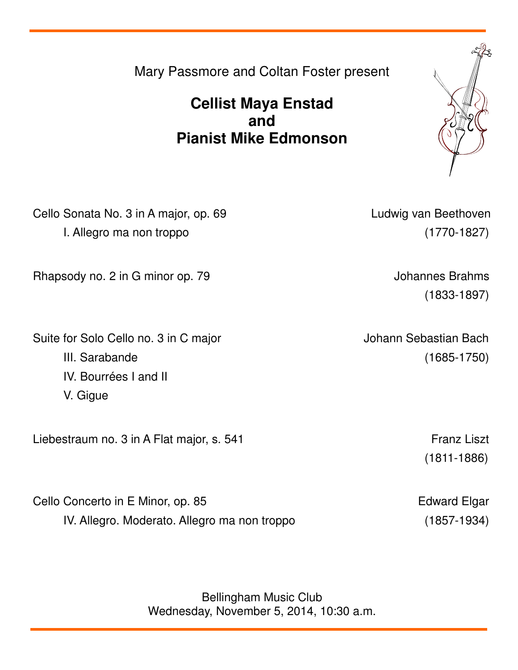Bellingham Music Club Wednesday, November 5, 2014, 10:30 a.m.

Mary Passmore and Coltan Foster present

### **Cellist Maya Enstad and Pianist Mike Edmonson**

Cello Sonata No. 3 in A major, op. 69 Ludwig van Beethoven I. Allegro ma non troppo (1770-1827)

Rhapsody no. 2 in G minor op. 79 Johannes Brahms

Suite for Solo Cello no. 3 in C major **Johann Sebastian Bach** III. Sarabande (1685-1750) IV. Bourrées I and II V. Gigue

Liebestraum no. 3 in A Flat major, s. 541 Franz Liszt

Cello Concerto in E Minor, op. 85 Edward Elgar IV. Allegro. Moderato. Allegro ma non troppo (1857-1934)

(1833-1897)

(1811-1886)